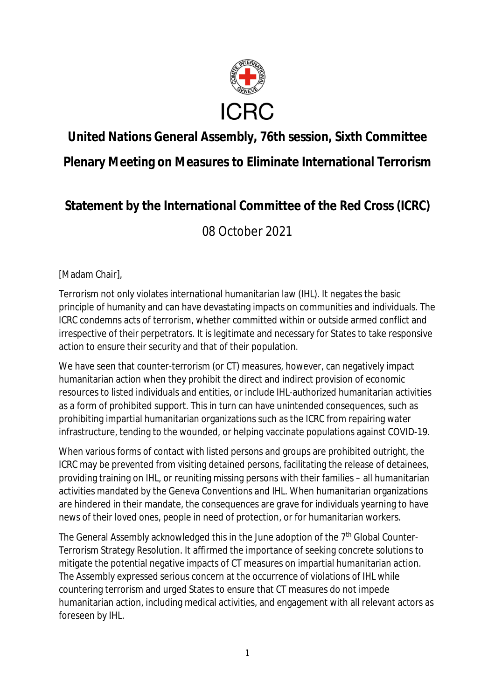

## **United Nations General Assembly, 76th session, Sixth Committee**

**Plenary Meeting on Measures to Eliminate International Terrorism**

## **Statement by the International Committee of the Red Cross (ICRC)**

08 October 2021

[Madam Chair],

Terrorism not only violates international humanitarian law (IHL). It negates the basic principle of humanity and can have devastating impacts on communities and individuals. The ICRC condemns acts of terrorism, whether committed within or outside armed conflict and irrespective of their perpetrators. It is legitimate and necessary for States to take responsive action to ensure their security and that of their population.

We have seen that counter-terrorism (or CT) measures, however, can negatively impact humanitarian action when they prohibit the direct and indirect provision of economic resources to listed individuals and entities, or include IHL-authorized humanitarian activities as a form of prohibited support. This in turn can have unintended consequences, such as prohibiting impartial humanitarian organizations such as the ICRC from repairing water infrastructure, tending to the wounded, or helping vaccinate populations against COVID-19.

When various forms of contact with listed persons and groups are prohibited outright, the ICRC may be prevented from visiting detained persons, facilitating the release of detainees, providing training on IHL, or reuniting missing persons with their families – all humanitarian activities mandated by the Geneva Conventions and IHL. When humanitarian organizations are hindered in their mandate, the consequences are grave for individuals yearning to have news of their loved ones, people in need of protection, or for humanitarian workers.

The General Assembly acknowledged this in the June adoption of the 7<sup>th</sup> Global Counter-Terrorism Strategy Resolution. It affirmed the importance of seeking concrete solutions to mitigate the potential negative impacts of CT measures on impartial humanitarian action. The Assembly expressed serious concern at the occurrence of violations of IHL while countering terrorism and urged States to ensure that CT measures do not impede humanitarian action, including medical activities, and engagement with all relevant actors as foreseen by IHL.